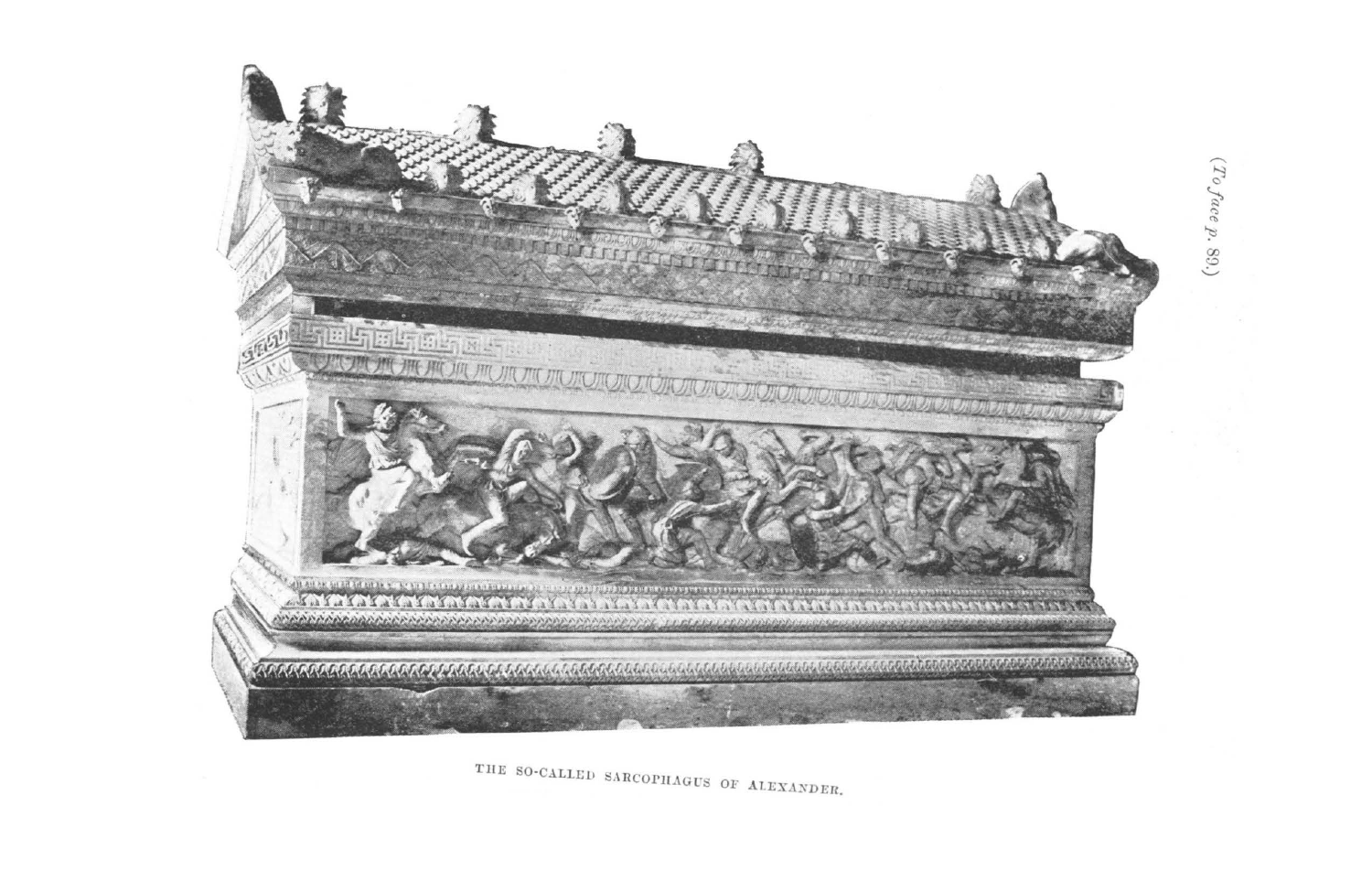

THE SO-CALLED SARCOPHAGUS OF ALEXANDER.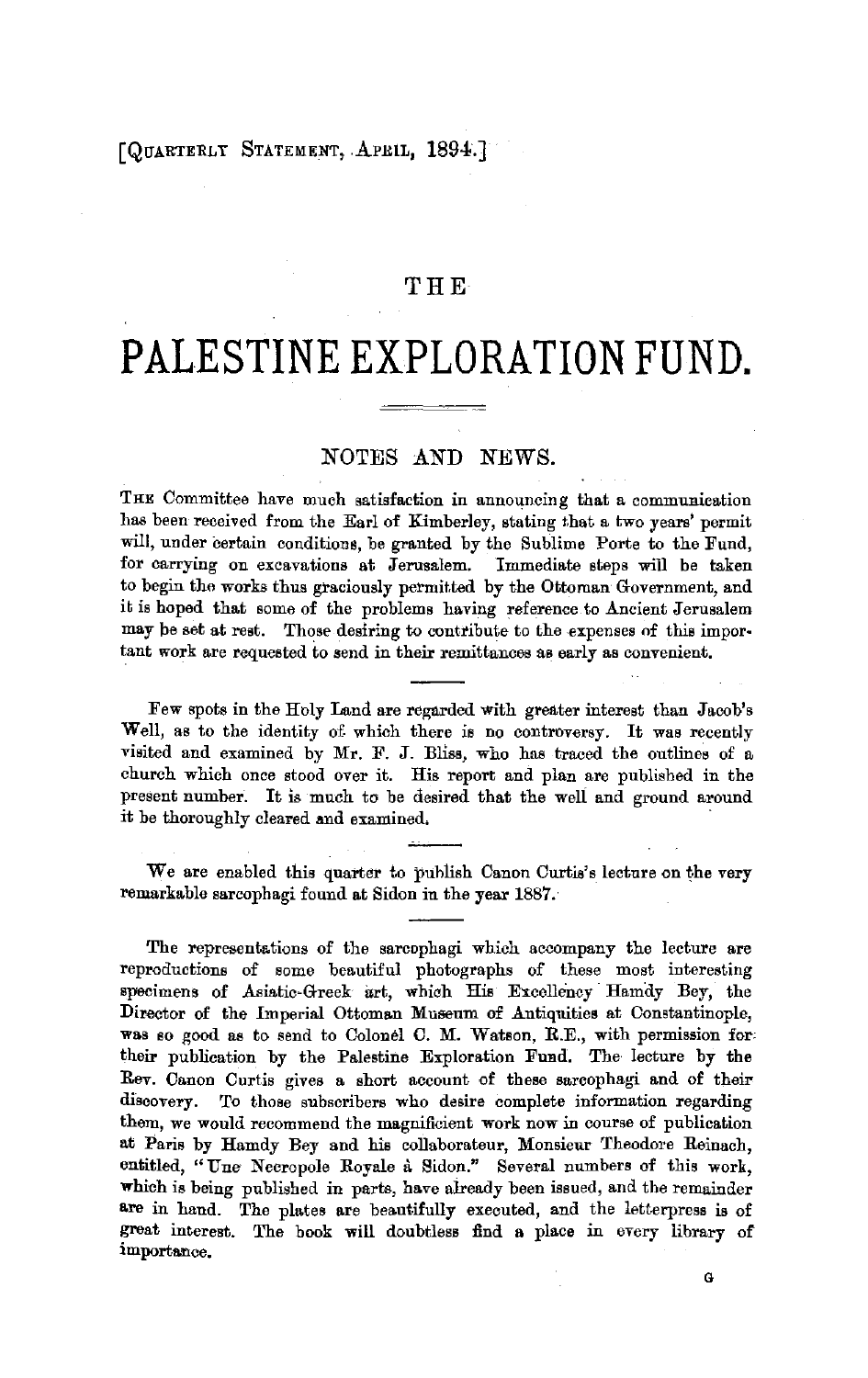# THE

# **PALESTINE EXPLORATION FUND.**

## NOTES AND NEWS.

THE Committee have much satisfaction in announcing that a communication has been received from the Earl of Kimberley, stating that a two years' permit will, under certain conditions, be granted by the Sublime Porte to the Fund, for carrying on excavations at Jerusalem. Immediate steps will be taken to begin the works thus graciously permitted by the Ottoman Government, and it is hoped that some of the problems having reference to Ancient Jerusalem may be set at rest. Those desiring to contribute to the expenses of this impor• tant work are requested to send in their remittances as early as convenient.

Few spots in the Holy Land are regarded with greater interest than Jacob's Well, as to the identity of which there is no controversy. It was recently visited and examined by Mr. F. J. Bliss, who has traced the outlines of a church which once stood over it. His report and plan are published in the present number. It is much to be desired that the well and ground around it be thoroughly cleared and examined.

We are enabled this quarter to publish Canon Curtis's lecture on the very remarkable sarcophagi found at Sidon in the year 1887.

The representations of the sarcophagi which accompany the lecture are reproductions of some beautiful photographs of these most interesting specimens of Asiatic-Greek art, which His Excellency Hamdy Bey, the Director of the Imperial Ottoman Museum of Antiquities at Constantinople, **was** so good as to send to Colonel C. M. Watson, R.E., with permission for. their publication by the Palestine Exploration Fund. The lecture by the Rev. Canon Curtis gives a short account of these sarcophagi and of their discovery. To those subscribers who desire complete information regarding them, we would recommend the magnificient work now in course of publication at **Paris** by Hamdy Bey and his collaborateur, Monsieur Theodore Reinach, entitled, "Une Necropole Royale a Sidon." Several numbers of this work, **whieh** is being published in parts, have aiready been issued, and the remainder **e.re** in hand. The plates are beautifully executed, and the letterpress **is** of great interest. The book will doubtless find a place in every library of importance.

G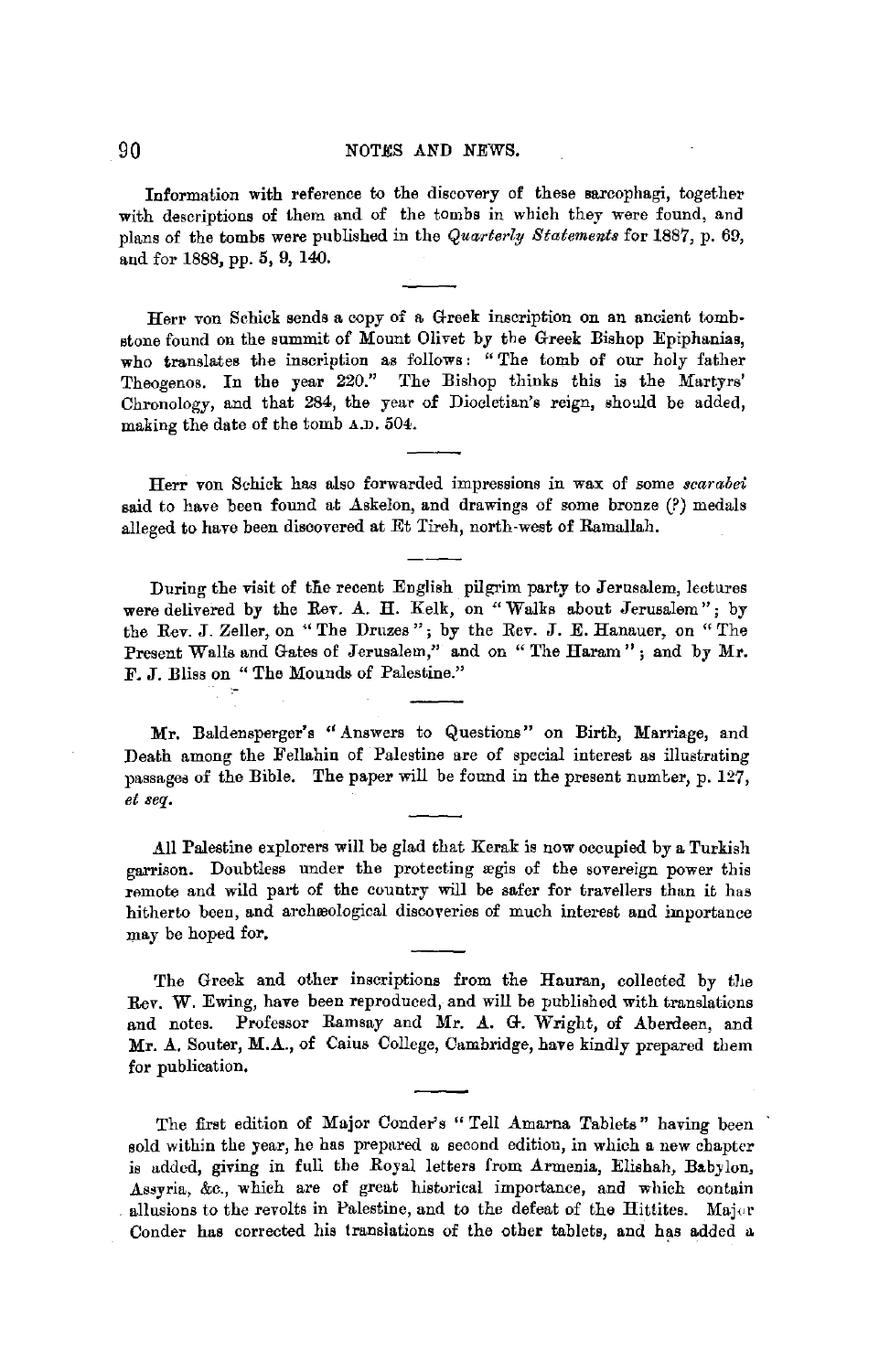Information with reference to the discovery of these sarcophagi, together with descriptions of them and of the tombs in which they were found, and plans of the tombs were published in the *Quarterly Statements* for 1887, p. 69, and for 1888, pp. 5, 9, 140.

Herr von Schick sends a copy of a Greek inscription on an ancient tombstone found on the summit of Mount Olivet by the Greek Bishop Epiphanias, who translates the inscription as follows: "The tomb of our holy father Theogenos. In the year 220." The Bishop thinks this is the Martyrs' Chronology, and that 284, the year of Diocletian's reign, should be added, making the date of the tomb A.D. 504.

Herr von Schick has also forwarded impressions in wax of some *scarabei* said to have been found at  $\Delta$ skelon, and drawings of some bronze (?) medals alleged to have been discovered at Et Tireh, north-west of Ramallah.

During the visit of the recent English pilgrim party to Jerusalem, lectures were delivered by the Rev. A. H. Kelk, on "Walks about Jerusalem": by the Rev. J. Zeller, on "The Druzes "; by the Rev. J. E. Hanauer, on "The Present Walls and Gates of Jerusalem," and on "The Haram"; and by Mr. F. J. Bliss on " The Mounds of Palestine."

**Mr.** Baldensperger's "Answers to Questions" on Birth, Marriage, and Death among the Fellahin of Palestine are of special interest as illustrating passages of the Bible. The paper will be found in the present number, p.  $127$ , *et seq .* 

.All Palestine explorers will be glad that Kerak is now occupied by a Turkish garrison. Doubtless under the protecting ægis of the sovereign power this remote and wild part of the country will be safer for travellers than it has hitherto been, and archæological discoveries of much interest and importance may be hoped for,

The Greek and other inscriptions from the Hauran, collected by the Rev. W. Ewing, have been reproduced, and will be published with translations and notes. Professor Ramsay and Mr. A. G. Wright, of Aberdeen, and Mr. A. Souter, M.A., of Caius College, Cambridge, have kindly prepared them for publication,

The first edition of Major Conder's "Tell Amarna Tablets" having been sold within the year, he has prepared a second edition, in which a new chapter is added, giving in full the Royal letters from Armenia, Elishah, Babylon, Assyria, &c., which are of great historical importance, and which contain allusions to the revolts in Palestine, and to the defeat of the Hittites. Major Conder has corrected his translations of the other tablets, and has added a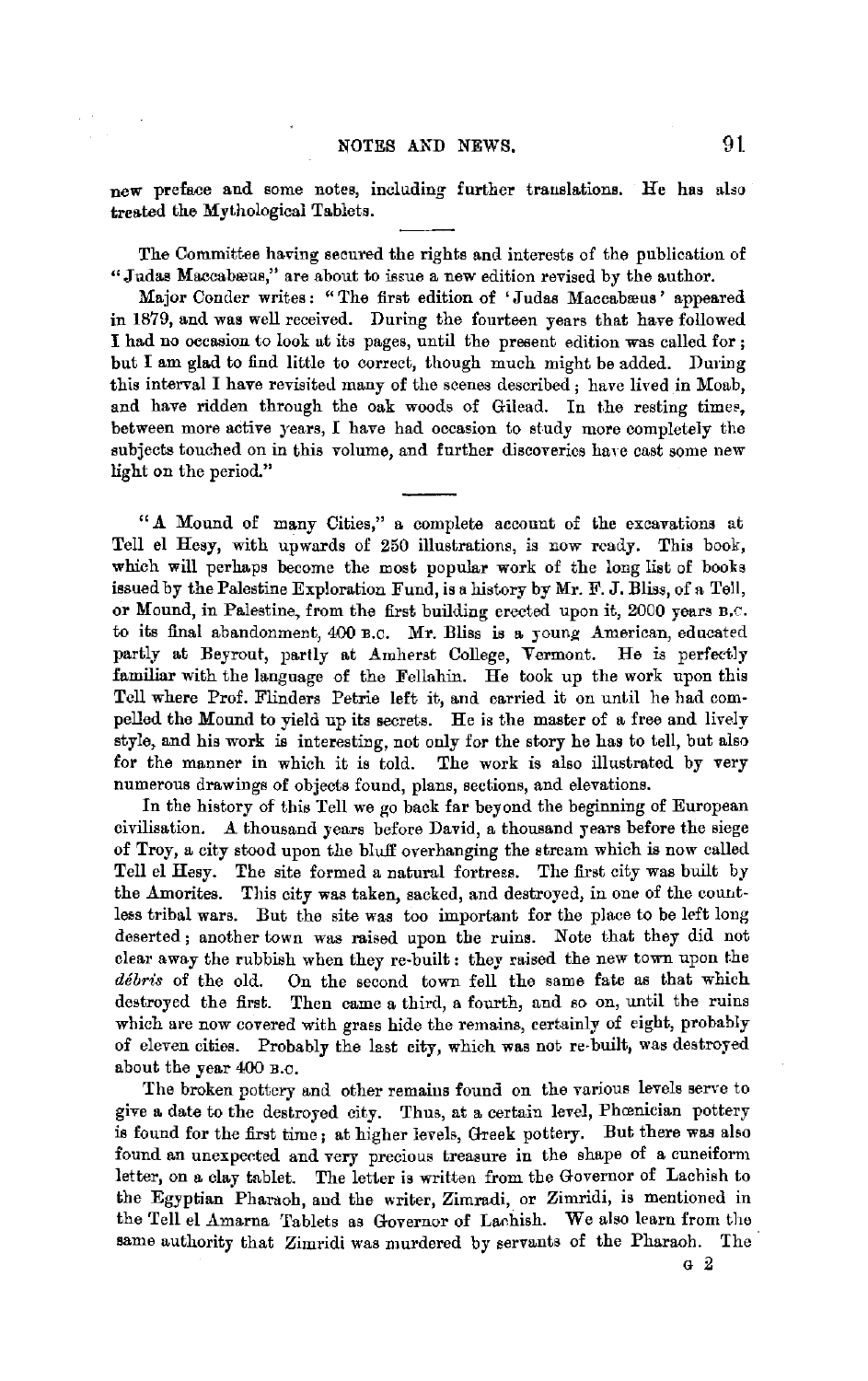new preface and some notes, including further translations. He has also treated the Mythological Tablets.

The Committee having secnred the rights and interests of the publication of "Judas Maccabæus," are about to issue a new edition revised by the author.

Major Conder writes: "The first edition of 'Judas Maccabæus' appeared in 1879, and was well received. During the fourteen years that have followed I had no occasion to look at its pages, until the present edition was called for ; but I am glad to find little to correct, though much might be added. During this interval I have revisited many of the scenes described; have lived in Moab, and have ridden through the oak woods of Gilead. In the resting times, between more active years, I have had occasion to study more completely the subjects touched on in this volume, and further discoveries have cast some new light on the period."

" A Mound of many Cities," a complete account of the excavations at Tell el Hesy, with upwards of 250 illustrations, is now ready. This book, which will perhaps become the most popular work of the long list of books issued by the Palestine Exploration Fund, is a history by Mr. F. J. Bliss, of a Tell, or Mound, in Palestine, from the first building erected upon it, 2000 years B,C. to its final abandonment, 400 B.C. Mr. Bliss is a young American, educated partly at Beyrout, partly at Amherst College, Vermont. He is perfectly familiar with the language of the Fellahin. He took up the work upon this Tell where Prof. Flinders Petrie left it, and carried it on until he had compelled the Mound to yield up its secrets. He is the master of a free and lively style, and his work is interesting, not only for the story he has to tell, but also for the manner in which it is told. The work is also illustrated by very numerous drawings of objects found, plans, sections, and elevations.

In the history of this Tell we go back far beyond the beginning of European civilisation. *A.* thousand years before David, a thousand years before the siege of Troy, a city stood upon the bluff overhanging the stream which is now called Tell el Hesy. The site formed a natural fortreas. The first city was built by the Amorites. This city was taken, sacked, and destroyed, in one of the countless tribal wars. But the site was too important for the place to be left long deserted; another town was raised upon the ruins. Note that they did not clear away the rubbish when they re-built: they raised the new town upon the *debris* of the old. On the second town fell the same fate as that which destroyed the first. Then came a third, a fourth, and so on, until the ruins which are now covered with graes hide the remains, certainly of eight, probably of eleven cities. Probably the last city, which was not re-built, was destroyed about the year 400 B.c.

The broken pottery and other remains found on the various levels serve to give a date to the destroyed city. Thus, at a certain level, Phœnician pottery is found for the first time; at higher levels, Greek pottery. But there was also found an unexpected and very precious treasure in the shape of a cuneiform letter, on a clay tablet. The letter is written from the Governor of Lachish to the Egyptian Pharnoh, and the writer, Zimradi, or Zimridi, is mentioned in the Tell el Amarna 'Tablets as Governor of Lachish. We also learn from the same authority that Zimridi was murdered by servants of the Pharaoh. The

G 2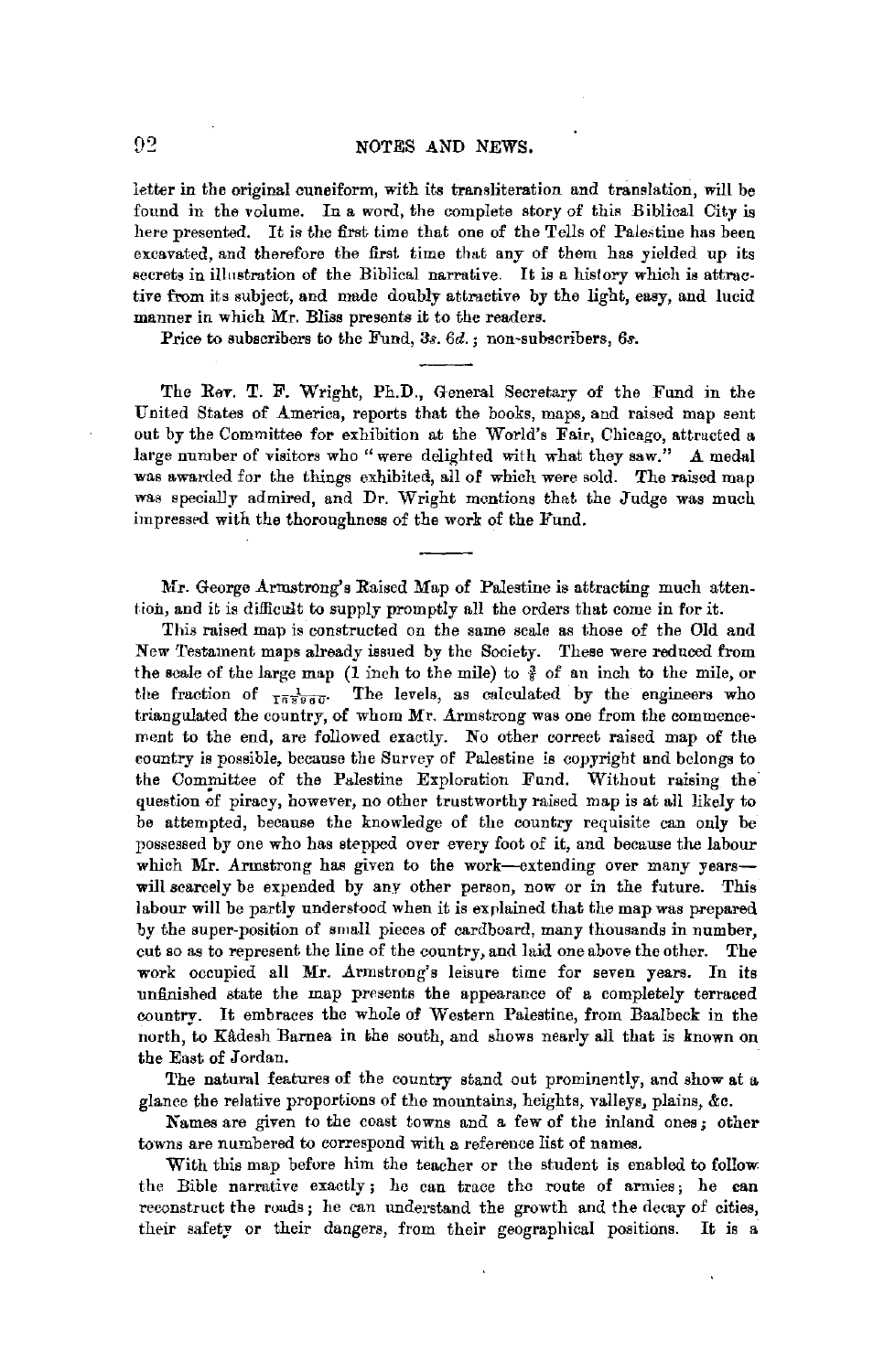#### NOTES AND NEWS.

letter in the original cuneiform, with its transliteration and translation, will be found in the volume. In a word, the complete story of this Biblical City is here presented. It is the first time that one of the Tells of Palestine has been excavated, and therefore the first time that any of them has yielded up its secrets in illustration of the Biblical narrative. It is a history which is attractive from its subject, and made doubly attractive by the light, easy, and lucid manner in which Mr. Bliss presents it to the readers.

Price to subscribers to the Fund, 3s. *6d.* ; non-subscribers, *6s.* 

The Rev. T. F. Wright, Ph.D., General Secretary of the Fund in the United States of America, reports that the books, maps, and raised map sent out by the Committee for exhibition at the World's Fair, Chicago, attracted a large number of visitors who "were delighted with what they saw." *A.* medal was awarded for the things exhibited, all of which were sold. The raised map was specially admired, and Dr. Wright mentions that the Judge was much impressed with the thoroughness of the work of the Fund.

Mr. George Armstrong's Raised Map of Palestine is attracting much attention, and it is difficult to supply promptly all the orders that come in for it.

This raised map is constructed on the same scale as those of the Old and New Testament maps already issued by the Society. These were reduced from the scale of the large map (1 inch to the mile) to  $\frac{3}{5}$  of an inch to the mile, or the fraction of  $\frac{1}{168960}$ . The levels, as calculated by the engineers who triangulated the country, of whom *Mr.* Armstrong was one from the commencement to the end, are followed exactly. No other correct raised map of the country is possible, because the Survey of Palestine is copyright and belongs to the Committee of the Palestine Exploration Fund. Without raising the· question of piracy, however, no other trustworthy raised map is at all likely to be attempted, because the knowledge of the country requisite can only be possessed by one who has stepped over every foot of it, and because the labour which Mr. Armstrong has given to the work-extending over many yearswill scarcely be expended by any other person, now or in the future. This labour will be partly understood when it is explained that the map was prepared by the super-position of small pieces of cardboard, many thousands in number, cut so as to represent the line of the country, and laid one above the other. The work occupied all Mr. Armstrong's leisure time for seven years. In its unfinished state the map presents the appearance of a completely terraced country. It embraces the whole of Western Palestine, from Baalbeck in the north, to Kâdesh Barnea in the south, and shows nearly all that is known on the East of Jordan.

The natural features of the country stand out prominently, and show at a glanre the relative proportions of the mountains, heights, valleys, plains, &c.

Names are given to the coast towns and a few of the inland ones; other towns are numbered to eorrespond with a reference list of names.

With this map before him the teacher or the student is enabled to follow the Bible narrative exactly; ho can trace the route of armies; he can reconstruet the roads; he can understand the growth and the decay of cities, their safety or their dangers, from their geographical positions. It is a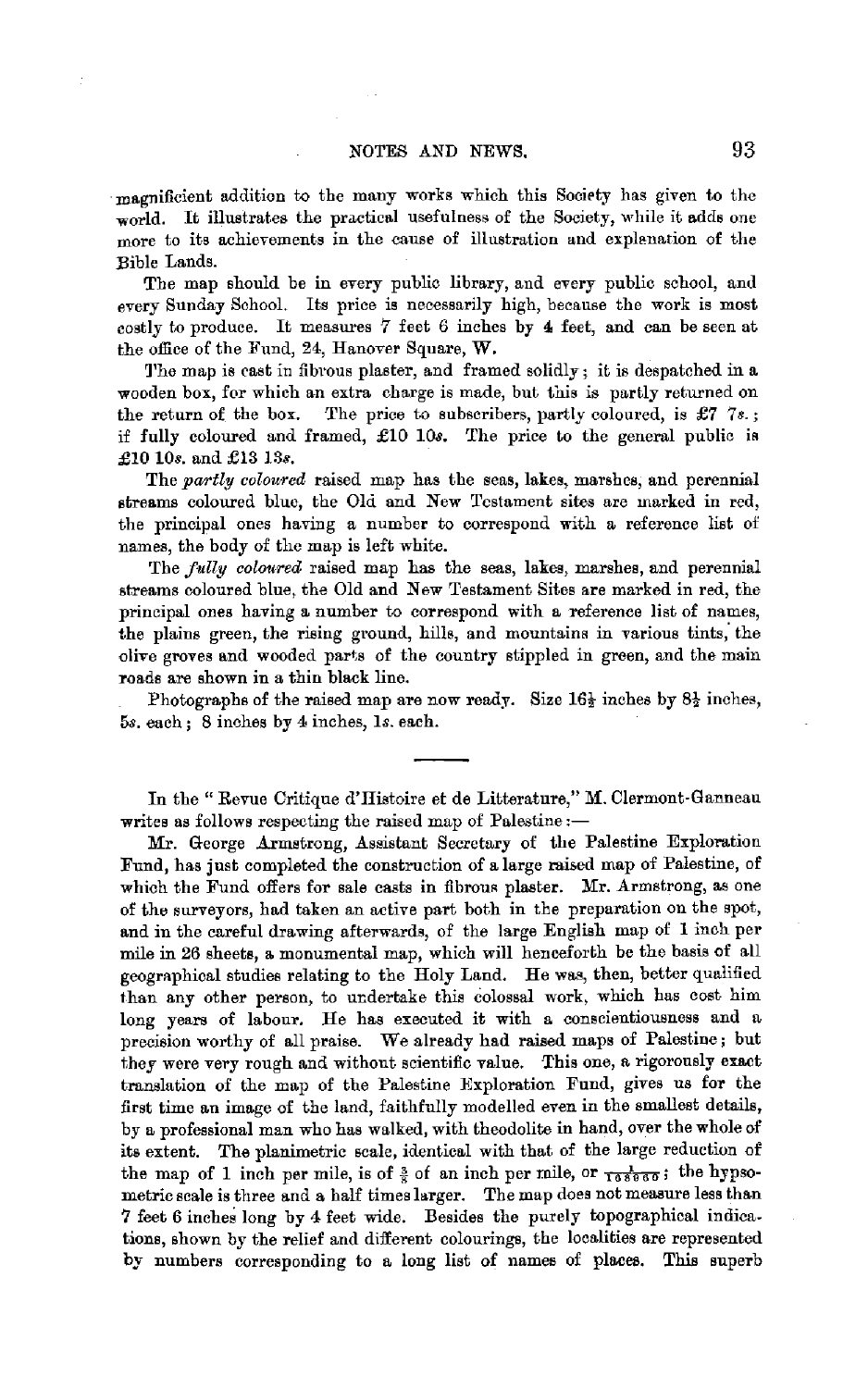magnificient addition to the many works which this Society has given to the world. It illustrates the practical usefulness of the Society, while it adds one more to its achievements in the cause of illustration and explenation of the Bible Lands.

The map should be in every public library, and every public school, and every Sunday School. Its price is necessarily high, because the work is most costly to produce. It measures 7 feet *6* inches by **4** feet, and can be seen at the office of the Fund, 24, Hanover Square, W.

1'he map is cast in fibrous plaster, and framed solidly; it is despatched in a wooden box, for which an extra charge is made, but this is partly returned on the return of the box. The price to subscribers, partly coloured, is  $\pounds 77$ . if fully coloured and framed, £10 *lOs.* The price to the general public ia £10 10s. and £13 *13s.* 

The *partly coloured* raised map has the seas, lakes, marshes, and perennial streams coloured blue, the Old and New Testament sites are marked in red, the principal ones having a number to correspond with a reference list of names, the body of the map is left white.

The *fully coloured* raised map has the seas, lakes, marshes, and perennial streams coloured blue, the Old and New Testament Sites are marked in red, the principal ones having a number to correspond with a reference list of names, the plains green, the rising ground, hills, and mountains in various tints, the olive groves and wooded parts of the country stippled in green, and the main roads are shown in a thin black line.

Photographs of the raised map are now ready. Size  $16\frac{1}{2}$  inches by  $8\frac{1}{2}$  inches, 5s. each; 8 inehes by 4 inches, *ls.* each.

In the "Revue Critique d'IIistoire et de Litterature," M. Clermont-Ganneau writes as follows respecting the raised map of Palestine :-

Mr. George Armstrong, Assistant Secretary of the Palestine Exploration Fund, has just completed the construction of a large raised map of Palestine, of which the Fund offers for sale casts in fibrous plaster. Mr. Armstrong, as one of the surveyors, had taken an active parl both in the preparation on the spot, and in the careful drawing afterwards, of the large English map of 1 inch per mile in 26 sheets, a monumental map, which will henceforth be the basis of all geographical studies relating to the Holy Land. He was, then, better qualified than any other person, to undertake this colossal work, which has cost him long years of labour. He has executed it with a conscientiousness and a precision worthy of all praise. We already had raised maps of Palestine; but they were very rough and without scientific value. This one, a rigorously exact translation of the map of the Palestine Exploration Fund, gives us for the first time an image of the land, faithfully modelled even in the smallest details, by a professional man who has walked, with theodolite in hand, over the whole of its extent. The planimetric scale, identical with that of the large reduction of the map of 1 inch per mile, is of  $\frac{3}{5}$  of an inch per mile, or  $\frac{1}{108000}$ ; the hypsometric scale is three and a half times larger. The map does not measure less than 7 feet 6 inches long by 4 feet wide. Besides the purely topographical indications, shown by the relief and different colourings, the localities are represented by numbers corresponding to a long list of names of places. This superb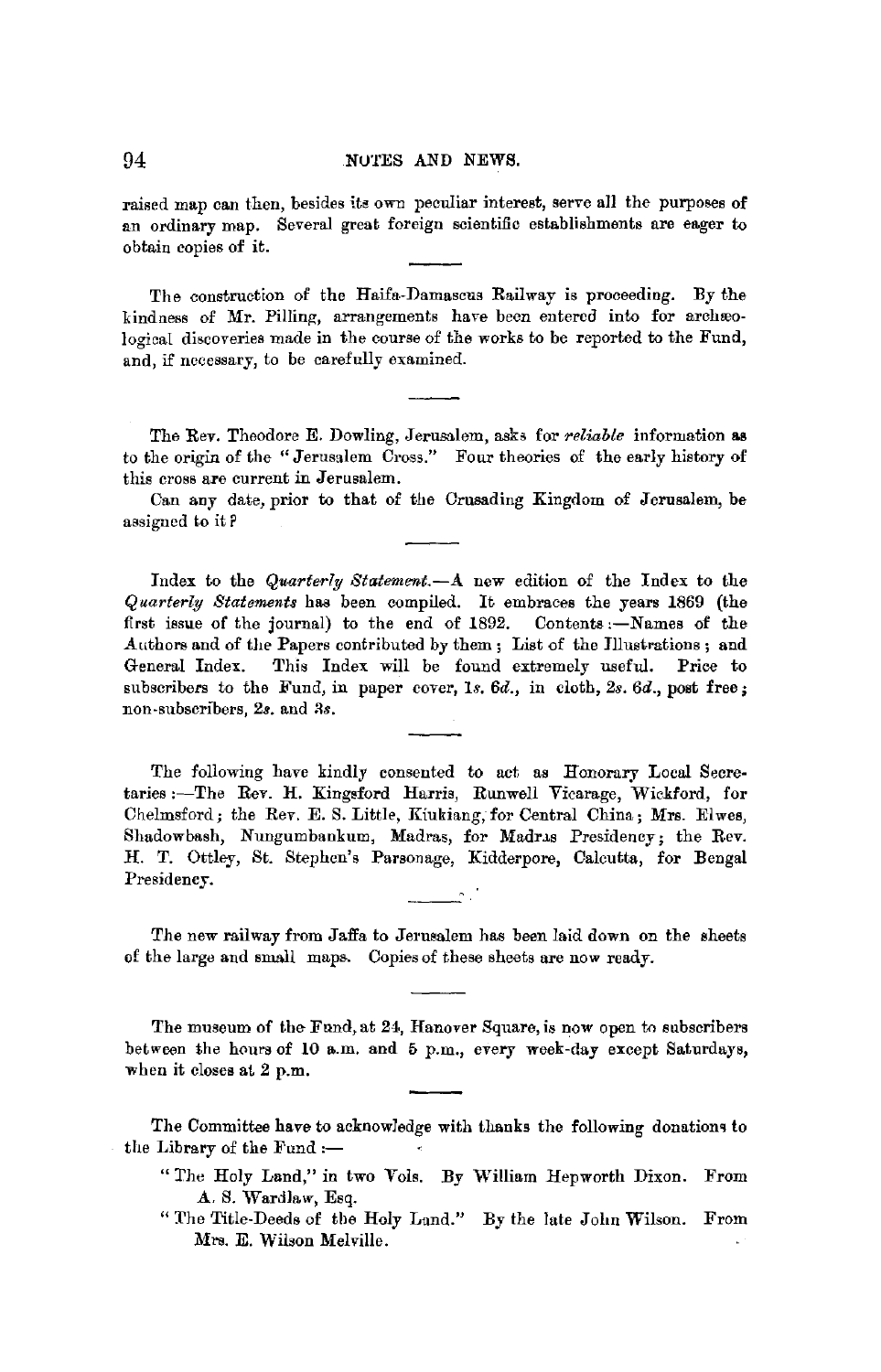raised map can then, besides its own peculiar interest, serve all the purposes of an ordinary map. Several great foreign scientific establishments are eager to obtain copies of it.

The construction of the Haifa-Damascus Railway is proceeding. By the kindness of Mr. Pilling, arrangements have been entered into for archæological discoveries made in the course of the works to be reported to the Fund, and, if necessary, to be carefully examined.

The Rev. Theodore E. Dowling, Jerusalem, asks for *reliable* information **as**  to the origin of the "Jerusalem Cross." Four theories of the early history of this cross are current in Jerusalem.

Can any date, prior to that of the Crusading Kingdom of Jerusalem, be assigned to it P

Index to the *Quarterly Statement.-A* new edition of the Index to the *Quarterly Statements* has been compiled. It embraces the years 1869 (the first issue of the journal) to the end of 1892. Contents :- Names of the Authors and of the Papers contributed by them; List of the Illustrations; and General Index. This Index will be found extremely useful. Price to subscribers to the Fund, in paper cover, *ls. 6d.,* in cloth, *2s. 6d.,* post free; non-subscribers, 2s. and 3s.

The following have kindly consented to act as Honorary Local Secretaries :-The Rev. H. Kingsford Harris, Runwell Vicarage, Wickford, for Chelmsford; the Rev. E. S. Little, Kiukiang, for Central China; Mrs. Elwes, Shadowbash, Nungumbankum, Madras, for Madras Presidency; the Rev. H. T. Ottley, St. Stephen's Parsonage, Kidderpore, Calcutta, for Bengal Presidency.

The new railway from Jaffa to Jerusalem has been laid down on the sheets of the large and small maps. Copies of these sheets are now ready.

The museum of the Fund, at 24, Hanover Square, is now open to subscribers between the hours of 10 a.m. and 5 p.m., every week-day except Saturdays, when it closes at 2 p.m.

The Committee have to acknowledge with thanks the following donatiom to the Library of the Fund  $:$ -

- " The Holy Land," in two Vols. By William Hepworth Dixon. From A. S. Wardlaw, Esq.
- " The Title-Deeds of the Holy Land." By the late John Wilson. From Mrs. E. Wilson Melville.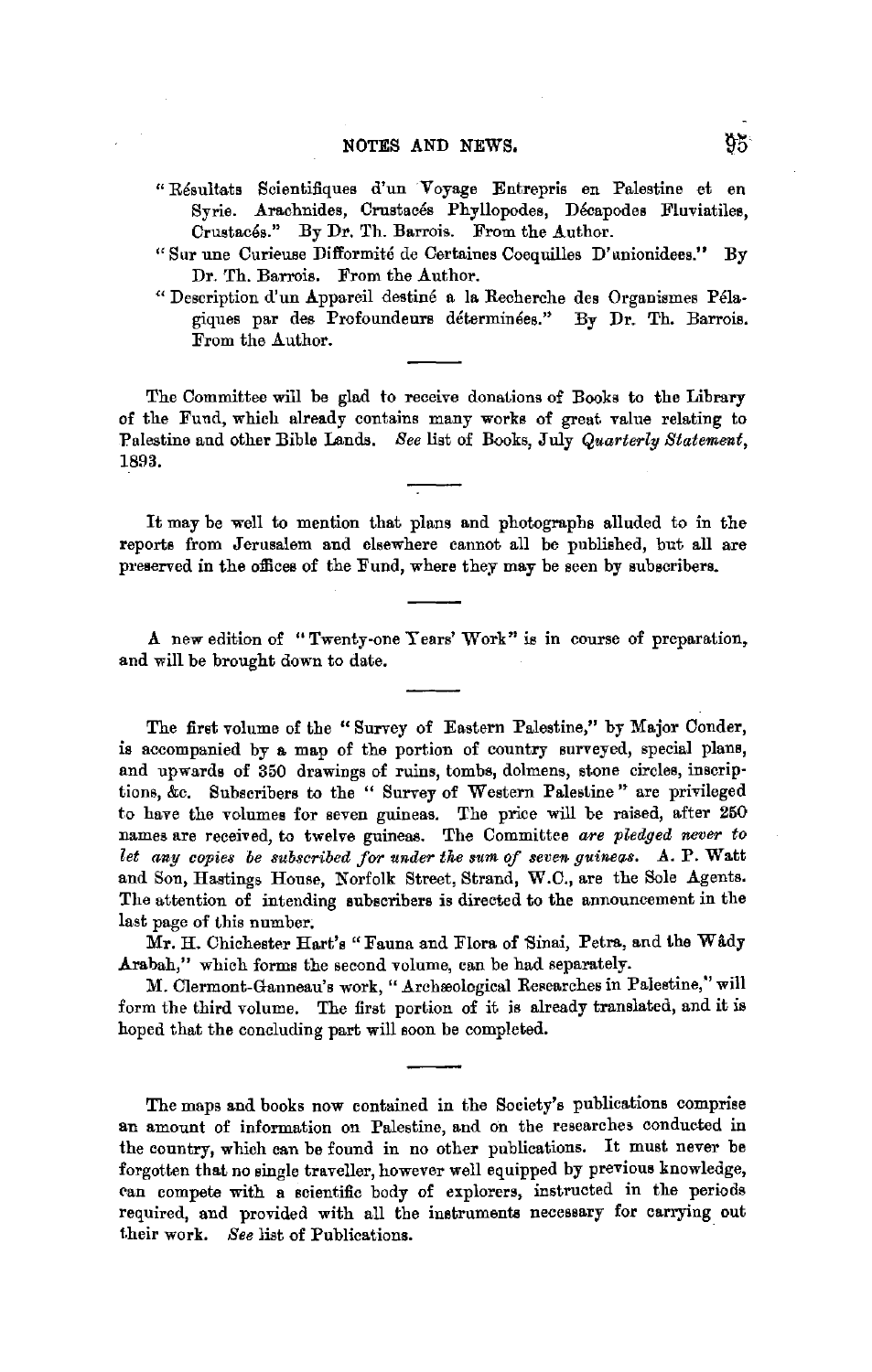- "Resul!ats Scientifiques d'un Voyage Entrepris en Palestine et en Syrie. Arachnides, Crustacés Phyllopodes, Décapodes Fluviatiles, Crustacés." By Dr. Th. Barrois. From the Author.
- "Sur une Curieuse Difformite de Certaines Coequilles D'unionidees." By Dr. Th. Barrois. From the Author.
- " Description d'un Appareil destiné a la Recherche des Organismes Pélagiques par des Profoundeurs déterminées." By Dr. Th. Barrois. From the Author.

The Committee will be glad to receive donations of Books to the Library of the Fund, which already contains many works of great value relating to Palestine and other Bible Lands. *Bee* list of Books, July *Quarterly Statement,*  1893.

It may be well to mention that plans and photographs alluded to in the reports from Jerusalem and elsewhere cannot all be published, but all are preserved in the offices of the Fund, where they may be seen by subscribers.

**A** new edition of "Twenty-one Years' Work" is in course of preparation, and will be brought down to date.

The first volume of the "Survey of Eastern Palestine," by Major Conder, is accompanied by a map of the portion of country surveyed, special plans, and upwards of 350 drawings of ruins, tombs, dolmens, stone circles, inscriptions, &c. Subscribers to the " Survey of Western Palestine " are privileged to have the volumes for seven guineas. The price will be raised, after 250 names are received, to twelve guineas. The Committee *are pled9ed never to*  let any copies be subscribed for under the sum of seven guineas. A. P. Watt and Son, Hastings House, Norfolk Street, Strand, W.C., are the Sole Agents. The attention of intending subscribers is directed to the announcement in the last page of this number.

Mr. H. Chichester Hart's "Fauna and Flora of Sinai, Petra, and the Wady Arabah," which forms the second volume, can be had separately.

M. Clermont-Ganneau's work, "Archæological Researches in Palestine," will form the third volume. The first portion of it is already translated, and it is hoped that the concluding part will soon be completed.

The maps and books now contained in the Society's publications comprise an amount of information on Palestine, and on the researches conducted in the country, which can be found in no other publications. It must never be forgotten that no single traveller, however well equipped by previous knowledge, can compete with a scientific body of explorers, instructed in the periods required, and provided with all the instruments necessary for carrying out 1.heir work. *See* list of Publications.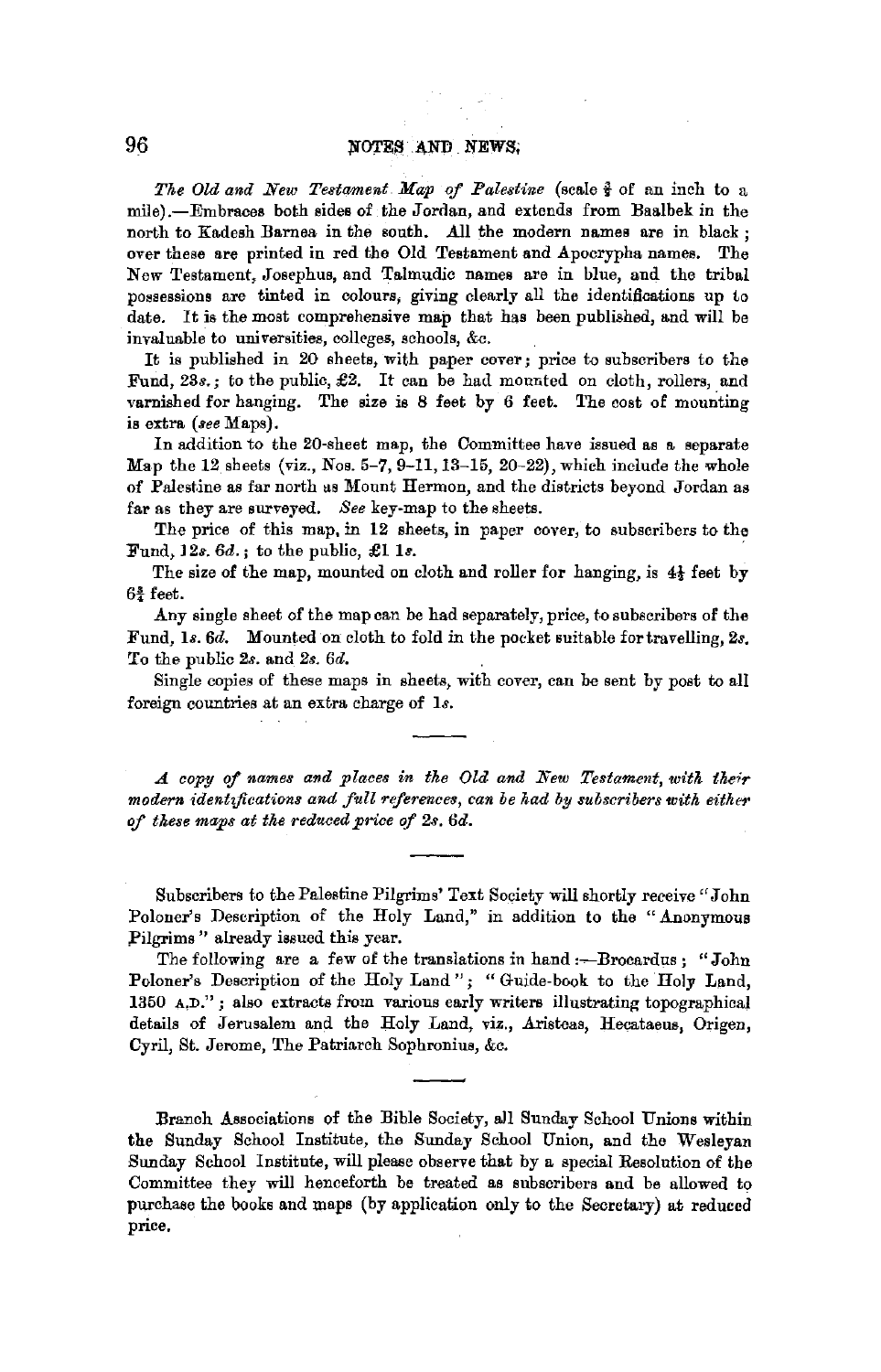*The Old and New Testament Map of Palestine* (scale  $\frac{3}{2}$  of an inch to a mile).-Embracee both sides of the Jordan, and extends from Baalbek in the north to Kadesh Barnea in the south. All the modern names are in black : over these are printed in red the Old Testament and Apocrypha names. The New Testament, Josephus, and Talmudic names are in blue, and the tribal possessions are tinted in colours, giving clearly all the identifications up to date. It is the most comprehensive map that has been published, and will be invaluable to universities, colleges, schools, &c.

It is published in 20 sheets, with paper cover; price to subscribers to the Fund, 23s.; to the public, £2. It can be had mounted on cloth, rollers, and varnished for hanging. The size is 8 feet by 6 feet. The cost of mounting is extra *(aee* Maps).

In addition to the 20-sheet map, the Committee have issued as a separate Map the  $12$  sheets (viz., Nos. 5-7, 9-11, 13-15, 20-22), which include the whole of Palestine as far north as Mount Hermon, and the districts beyond Jordan as far as they are surveyed. *See* key-map to the sheets.

The price of this map, in 12 sheets, in paper cover, to subscribers to the Fund, l 2s. *6d.* ; to the public, £1 *ls.* 

The size of the map, mounted on cloth and roller for hanging, is  $4\frac{1}{2}$  feet by  $6\frac{3}{4}$  feet.

Any single sheet of the map can be had separately, price, to subscribers of the Fund, ls. *6d.* Mounted on cloth to fold in the pocket suitable fortravelling, *2s.*  To the public *2s.* and *2s. 6d.* 

Single copies of these maps in sheets, with cover, can be sent by post to all foreign countries at an extra charge of *ls.* 

*A copy qf names and places in the Old and New Testament, with their*  modern *identifications and full references, can be had by subscribers with either* of *these maps at the reduced price of 2s. 6d.* 

Subscribers to the Palestine Pilgrims' Text Society will shortly receive "John Poloner's Description of the Holy Land," in addition to the "Anonymous Pilgrims" already issued this year.

The following are a few of the translations in hand :- Brocardus; "John Poloner's Description of the Holy Land"; "Guide-book to the Holy Land, 1360 a,D." ; also extracts from varions early writers illustrating topographical details of Jerusalem and the Holy Land, viz,, Aristeas, Hecataeus, Origen, Cyril, St. Jerome, The Patriarch Sophronius, &c.

Branch Associations of the Bible Society, all Sunday School Unions within the Sunday School Institute, the Sunday School Union, and the Wesleyan Sunday School Institute, will please observe that by a special Resolution of the Committee they will henceforth be treated as subscribers and be allowed to purchase the books and maps (by application only to the Secretary) at reduced price.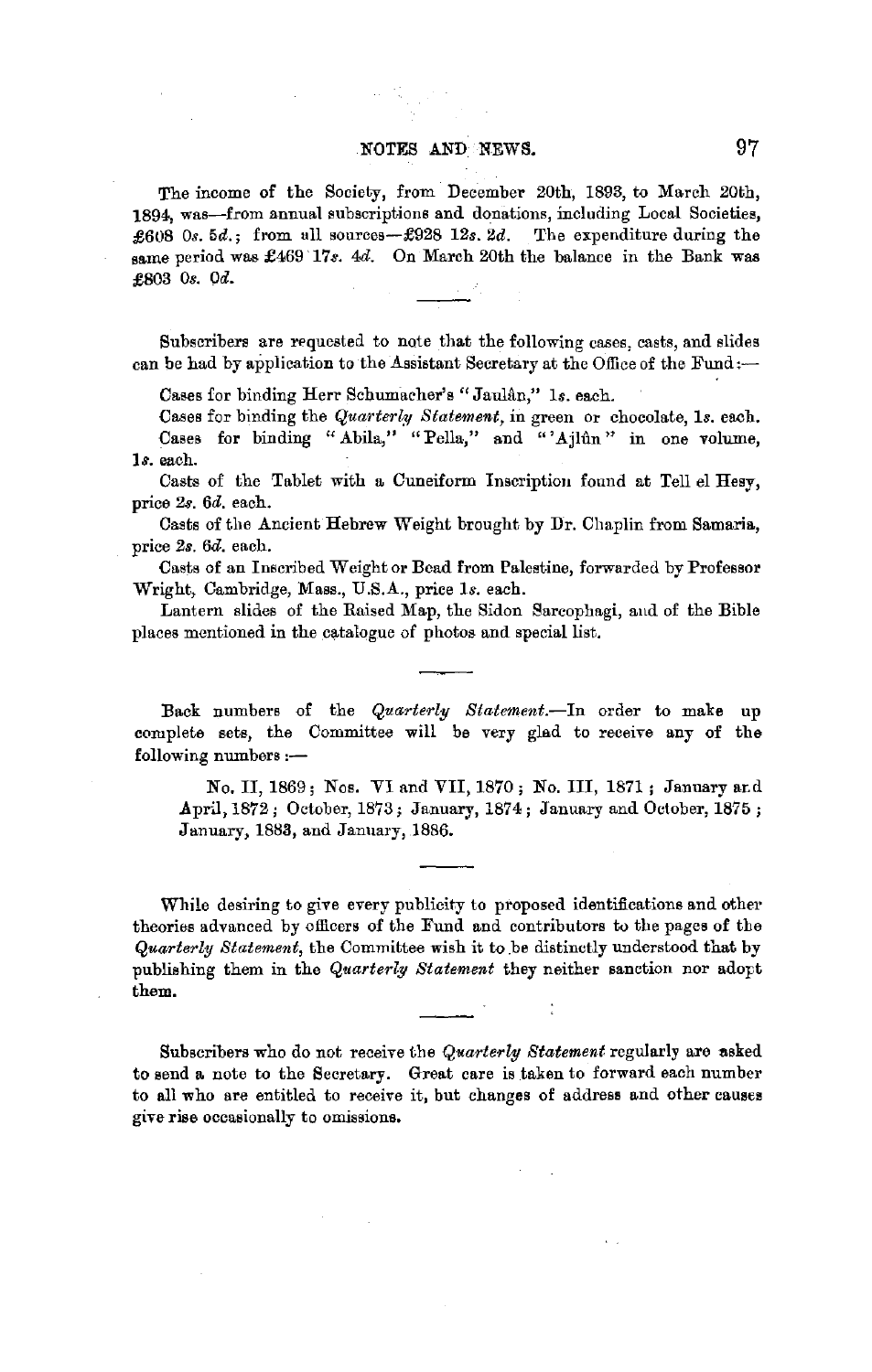### NOTES AND. NEWS. 97

The income of the Society, from December 20th, 1893, to March 20th, 1894, was-from annual subscriptions and donations, including Local Societies, £608 *0s.* 5d.; from ull sources-£928 12s. *2d.* The expenditure during the same period was £469 17s. 4d. On March 20th the balance in the Bank was £803 Os. Od.

Subscribers are requested to note that the following cases, casts, and slides can be had by application to the Assistant Secretary at the Office of the Fund:-

Cases for binding Herr Schumacher's "Jaulân," 1s. each.

Cases for binding the *Quarterly Statement,* in green or chocolate, *Is.* each. Cases for binding "Abila," "Pella," and "'Ajlun" in one volume, **ls.** each.

Casts of the Tablet with a Cuneiform Inscription found at Tell el Hesy, price *2s. 6d.* each.

Casts of the Ancient Hebrew Weight brought by Dr. Chaplin from Samaria, price *2s. 6d.* each.

Casts of an Inscribed Weight or Bead from Palestine, forwarded by Professor Wright, Cambridge, Mass., U.S.A., price *Is.* each.

Lantern slides of the Raised Map, the Bidon Sarcophagi, and of the Bible places mentioned in the catalogue of photos and special list.

Back numbers of the *Quarterly Statement.-*In order to make up complete sets, the Committee will be very glad to receive any of the  $following numbers: -$ 

No. II, 1869; Nos. VI and VII, 1870; No. III, 1871; January and April, 1872; October, 1873; January, 1874; January and October, 1875; January, 1883, and January, 1886.

While desiring to give every publicity to proposed identifications and other theories advanced by officers of the Fund and contributors to the pages of the *Quarterly Statement,* the Committee wish it to .be distinctly understood that by publishing them in the *Quarterly Statement* they neither sanction nor adopt them.

Subscribers who do not receive the *Quarterly Statement* regularly are asked to send a note to the Secretary. Great care is taken to forward each number to all who are entitled to receive it, but changes of address and other causes give rise occasionally to omissions.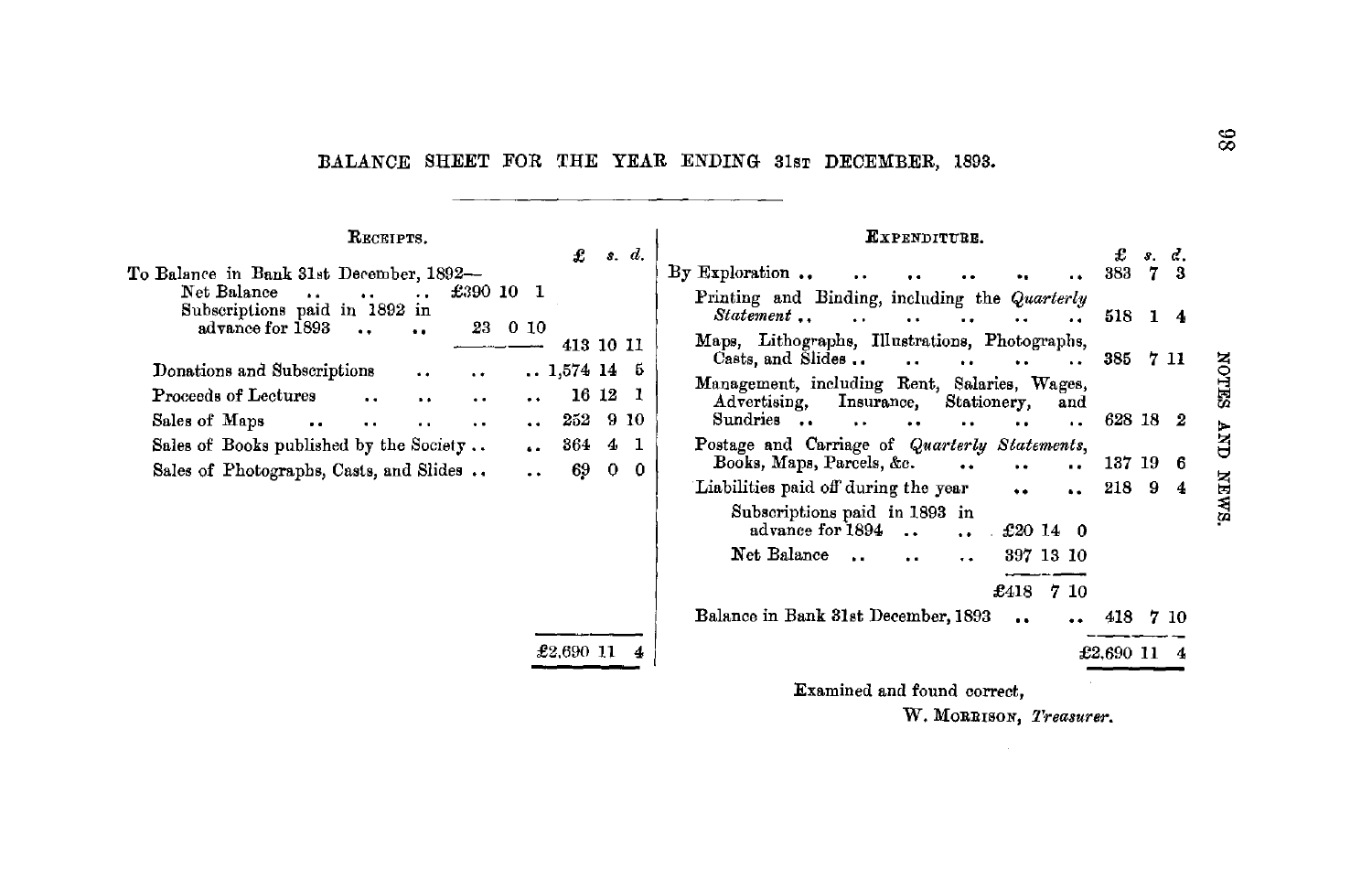BALANCE SHEET FOR THE YEAR ENDING 31sr DECEMBER, 1893.

RECEIPTS. EXPENDITURE. £  $s, d.$ To Balance in Bank 31st December. 1892-By Exploration .. Net Balance  $£390101$  $\ddot{\phantom{a}}$  $\ddot{\phantom{1}}$  $\ddot{\phantom{a}}$ Subscriptions paid in 1892 in Statement ..  $\ddot{\phantom{a}}$ advance for 1893 23 0 10  $\ddot{\phantom{a}}$  $\ddot{\phantom{a}}$ 413 10 11 Casts, and Slides ..  $\ddot{\phantom{a}}$ Donations and Subscriptions  $.1574145$ Proceeds of Lectures 16 12 1  $\ddot{\phantom{a}}$ Insurance,  $\ddot{\phantom{a}}$  $\ddot{\phantom{a}}$ Advertising, Sales of Maps 252 9 10 Sundries ..  $\ddot{\phantom{a}}$  $\ddot{\phantom{a}}$  $\ddot{\phantom{a}}$  $\mathbf{r}$  $\ddot{\phantom{a}}$  $\ddot{\phantom{a}}$ Sales of Books published by the Society .. 364  $4\quad1$ Books, Maps, Parcels, &c. Sales of Photographs, Casts, and Slides .. 69  $0<sub>0</sub>$  $\ddot{\phantom{a}}$ Liabilities paid off during the year Subscriptions paid in 1893 in advance for 1894 Net Balance ...

£2.690 11

Printing and Binding, including the Quarterly  $\mathbf{a}$  and  $\mathbf{b}$ 518 1 4  $\ddot{\phantom{a}}$  $\ddot{\phantom{a}}$  $\ddot{\phantom{a}}$ Maps. Lithographs. Illustrations. Photographs. 385 7 11  $\ddot{\phantom{a}}$  $\ddot{\phantom{a}}$  $\ddot{\phantom{a}}$ Management, including Rent, Salaries, Wages, Stationery, and 628 18 2  $\ddot{\phantom{a}}$  $\ddot{\phantom{a}}$  $\ddot{\phantom{a}}$ Postage and Carriage of Quarterly Statements, 137 19 6  $\ddot{\phantom{a}}$  $\ddot{\phantom{a}}$  $\ddot{\phantom{a}}$ 218 9  $\ddot{\phantom{a}}$ £20 14 0 397 13 10  $\sim$  $\ddot{\phantom{a}}$ £418  $710$ 

Balance in Bank 31st December, 1893 418 7 10 £2,690 11 4

Examined and found correct.

W. MORRISON, Treasurer.

**NOTES** 

**ANA** 

**NEWS** 

 $f$   $s$   $d$ 

383 7 3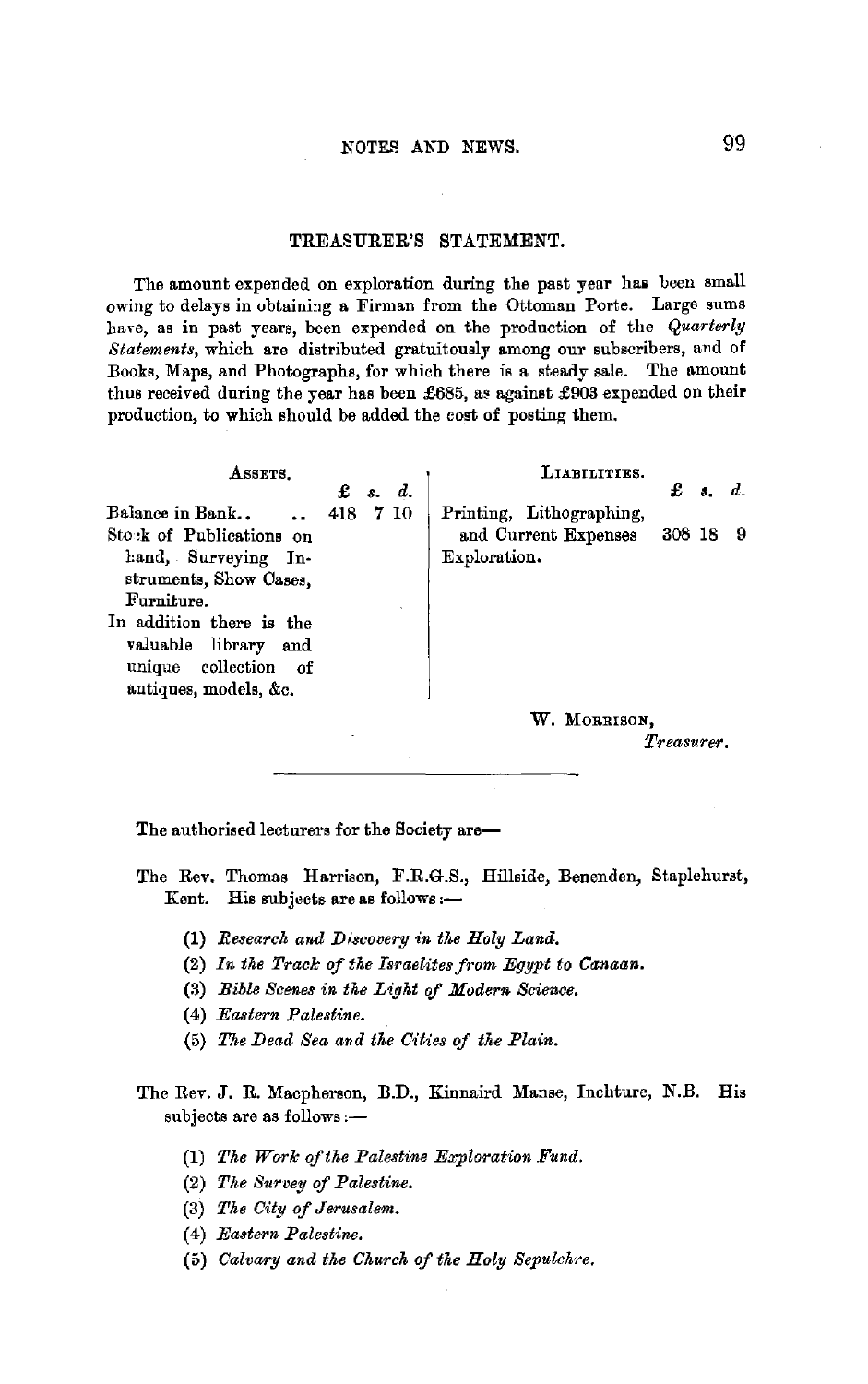#### TREASURER'S STATEMENT.

The amount expended on exploration during the past year has been small owing to delays in obtaining a Firman from the Ottoman Porte. Large sums have, as in past years, been expended on the production of the *Quarterly* Statements, which are distributed gratuitously among our subscribers, and of Books, Maps, and Photographs, for which there is a steady sale. The amount thus received during the year has been £685, as against £903 expended on their production, to which should be added the cost of posting them .

| LIABILITIES.                          |
|---------------------------------------|
| £<br>$d_{\cdot}$<br>$\mathbf{a}$ .    |
| Printing, Lithographing,              |
| 308 18<br>- 9<br>and Current Expenses |
| Exploration.                          |
|                                       |
|                                       |
|                                       |
|                                       |
|                                       |
|                                       |
| W. MORRISON,                          |
| s. d.<br>418 7 10                     |

*Treasurer.* 

The authorised lecturers for the Society are-

The Rev. Thomas Harrison, F.R.G.S., Hillside, Benenden, Staplehurst, Kent. His subjects are as follows:-

- (1) *Research and Discovery in the Holy Land.*
- (2) In the Track of the Israelites from Egypt to Canaan.
- (3) *Bible Scenes in the Light* of *Modern Science.*
- (4) *Eastern Palestine.*
- (5) *The Dead Sea and the Cities of the Plain.*
- The Rev. J. R. Macpherson, B.D., Kinnaird Manse, Inchturc, N.B. His subjects are as follows:-
	- (1) *The Work ofthe Palestine Exploration Fund.*
	- (2) *The Survey* of *Palestine.*
	- (3) *The City of Jerusalem.*
	- (4) *Eastern Palestine.*
	- (5) *Calvary and the Church of the Holy Sepulchre.*